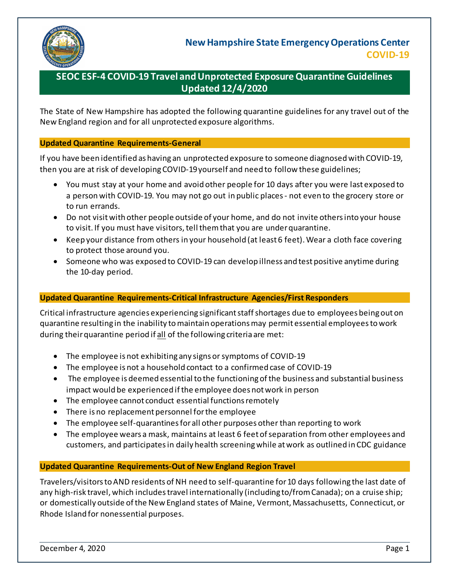

# **SEOC ESF-4 COVID-19 Travel and Unprotected Exposure Quarantine Guidelines Updated 12/4/2020**

The State of New Hampshire has adopted the following quarantine guidelines for any travel out of the New England region and for all unprotected exposure algorithms.

#### **Updated Quarantine Requirements-General**

If you have been identified as having an unprotected exposure to someone diagnosed with COVID-19, then you are at risk of developing COVID-19 yourself and need to follow these guidelines;

- You must stay at your home and avoid other people for 10 days after you were last exposed to a person with COVID-19. You may not go out in public places - not even to the grocery store or to run errands.
- Do not visit with other people outside of your home, and do not invite others into your house to visit. If you must have visitors, tell them that you are under quarantine.
- Keep your distance from others in your household (at least 6 feet). Wear a cloth face covering to protect those around you.
- Someone who was exposed to COVID-19 can develop illness and test positive anytime during the 10-day period.

### **Updated Quarantine Requirements-Critical Infrastructure Agencies/First Responders**

Critical infrastructure agencies experiencing significant staff shortages due to employees being out on quarantine resulting in the inability to maintain operations may permit essential employees to work during their quarantine period if all of the following criteria are met:

- The employee is not exhibiting any signs or symptoms of COVID-19
- The employee is not a household contact to a confirmed case of COVID-19
- The employee is deemed essential to the functioning of the business and substantial business impact would be experienced if the employee does not work in person
- The employee cannot conduct essential functions remotely
- There is no replacement personnel for the employee
- The employee self-quarantines for all other purposes other than reporting to work
- The employee wears a mask, maintains at least 6 feet of separation from other employees and customers, and participates in daily health screening while at work as outlined in CDC guidance

### **Updated Quarantine Requirements-Out of New England Region Travel**

Travelers/visitors to AND residents of NH need to self-quarantine for 10 days following the last date of any high-risk travel, which includes travel internationally (including to/from Canada); on a cruise ship; or domestically outside of the New England states of Maine, Vermont, Massachusetts, Connecticut, or Rhode Island for nonessential purposes.